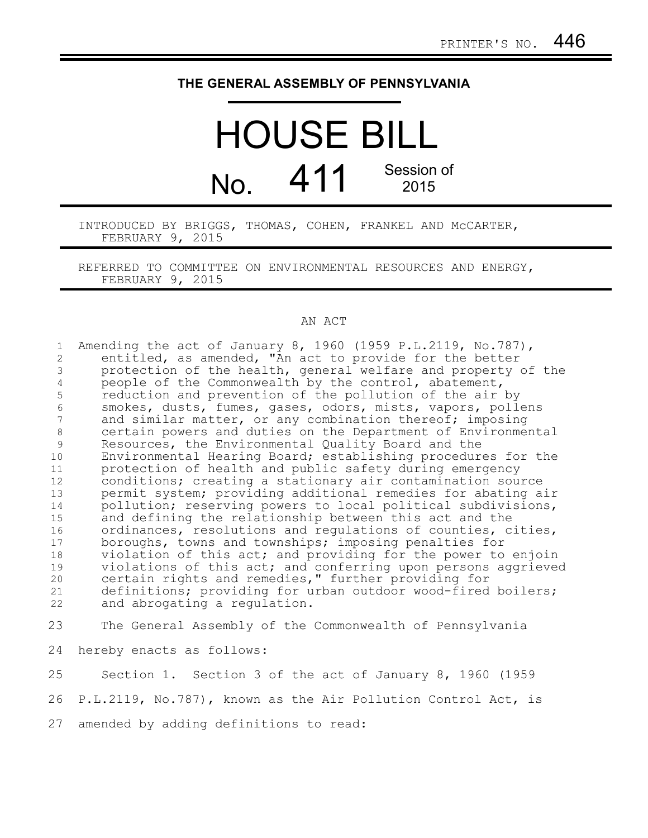## **THE GENERAL ASSEMBLY OF PENNSYLVANIA**

## HOUSE BILL  $N<sub>0</sub>$  411 Session of 2015

INTRODUCED BY BRIGGS, THOMAS, COHEN, FRANKEL AND McCARTER, FEBRUARY 9, 2015

REFERRED TO COMMITTEE ON ENVIRONMENTAL RESOURCES AND ENERGY, FEBRUARY 9, 2015

## AN ACT

Amending the act of January 8, 1960 (1959 P.L.2119, No.787), entitled, as amended, "An act to provide for the better protection of the health, general welfare and property of the people of the Commonwealth by the control, abatement, reduction and prevention of the pollution of the air by smokes, dusts, fumes, gases, odors, mists, vapors, pollens and similar matter, or any combination thereof; imposing certain powers and duties on the Department of Environmental Resources, the Environmental Quality Board and the Environmental Hearing Board; establishing procedures for the protection of health and public safety during emergency conditions; creating a stationary air contamination source permit system; providing additional remedies for abating air pollution; reserving powers to local political subdivisions, and defining the relationship between this act and the ordinances, resolutions and regulations of counties, cities, boroughs, towns and townships; imposing penalties for violation of this act; and providing for the power to enjoin violations of this act; and conferring upon persons aggrieved certain rights and remedies," further providing for definitions; providing for urban outdoor wood-fired boilers; and abrogating a regulation. The General Assembly of the Commonwealth of Pennsylvania hereby enacts as follows: Section 1. Section 3 of the act of January 8, 1960 (1959 1 2 3 4 5 6 7 8 9 10 11 12 13 14 15 16 17 18 19 20 21 22 23 24 25

P.L.2119, No.787), known as the Air Pollution Control Act, is 26

amended by adding definitions to read: 27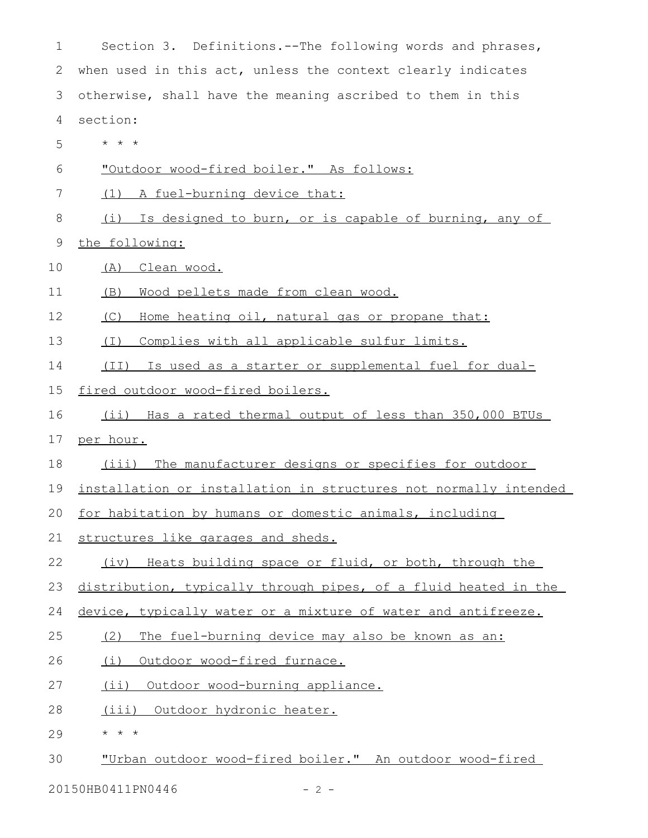| 1  | Section 3. Definitions.--The following words and phrases,        |
|----|------------------------------------------------------------------|
| 2  | when used in this act, unless the context clearly indicates      |
| 3  | otherwise, shall have the meaning ascribed to them in this       |
| 4  | section:                                                         |
| 5  | $\star$ $\star$ $\star$                                          |
| 6  | "Outdoor wood-fired boiler." As follows:                         |
| 7  | (1) A fuel-burning device that:                                  |
| 8  | (i) Is designed to burn, or is capable of burning, any of        |
| 9  | the following:                                                   |
| 10 | (A) Clean wood.                                                  |
| 11 | Wood pellets made from clean wood.<br>(B)                        |
| 12 | (C)<br>Home heating oil, natural gas or propane that:            |
| 13 | (I)<br>Complies with all applicable sulfur limits.               |
| 14 | (II) Is used as a starter or supplemental fuel for dual-         |
| 15 | fired outdoor wood-fired boilers.                                |
| 16 | (ii) Has a rated thermal output of less than 350,000 BTUs        |
| 17 | per hour.                                                        |
| 18 | (iii) The manufacturer designs or specifies for outdoor          |
| 19 | installation or installation in structures not normally intended |
| 20 | for habitation by humans or domestic animals, including          |
| 21 | structures like garages and sheds.                               |
| 22 | Heats building space or fluid, or both, through the<br>(iv)      |
| 23 | distribution, typically through pipes, of a fluid heated in the  |
| 24 | device, typically water or a mixture of water and antifreeze.    |
| 25 | The fuel-burning device may also be known as an:<br>(2)          |
| 26 | (i)<br>Outdoor wood-fired furnace.                               |
| 27 | (i)<br>Outdoor wood-burning appliance.                           |
| 28 | (iii)<br>Outdoor hydronic heater.                                |
| 29 | $\star$ $\star$ $\star$                                          |
| 30 | "Urban outdoor wood-fired boiler." An outdoor wood-fired         |

20150HB0411PN0446 - 2 -